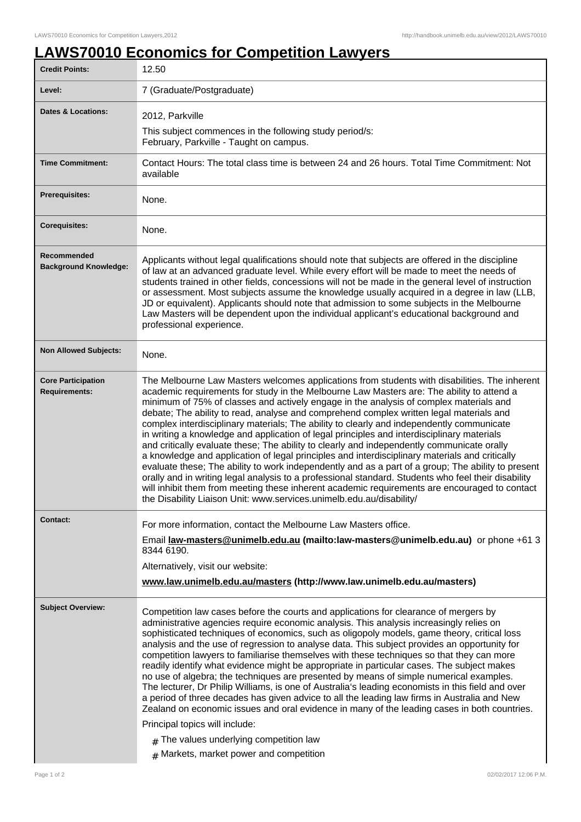## **LAWS70010 Economics for Competition Lawyers**

| <b>Credit Points:</b>                             | 12.50                                                                                                                                                                                                                                                                                                                                                                                                                                                                                                                                                                                                                                                                                                                                                                                                                                                                                                                                                                                                                                                                                                                                                            |
|---------------------------------------------------|------------------------------------------------------------------------------------------------------------------------------------------------------------------------------------------------------------------------------------------------------------------------------------------------------------------------------------------------------------------------------------------------------------------------------------------------------------------------------------------------------------------------------------------------------------------------------------------------------------------------------------------------------------------------------------------------------------------------------------------------------------------------------------------------------------------------------------------------------------------------------------------------------------------------------------------------------------------------------------------------------------------------------------------------------------------------------------------------------------------------------------------------------------------|
| Level:                                            | 7 (Graduate/Postgraduate)                                                                                                                                                                                                                                                                                                                                                                                                                                                                                                                                                                                                                                                                                                                                                                                                                                                                                                                                                                                                                                                                                                                                        |
| <b>Dates &amp; Locations:</b>                     | 2012, Parkville                                                                                                                                                                                                                                                                                                                                                                                                                                                                                                                                                                                                                                                                                                                                                                                                                                                                                                                                                                                                                                                                                                                                                  |
|                                                   | This subject commences in the following study period/s:<br>February, Parkville - Taught on campus.                                                                                                                                                                                                                                                                                                                                                                                                                                                                                                                                                                                                                                                                                                                                                                                                                                                                                                                                                                                                                                                               |
| <b>Time Commitment:</b>                           | Contact Hours: The total class time is between 24 and 26 hours. Total Time Commitment: Not<br>available                                                                                                                                                                                                                                                                                                                                                                                                                                                                                                                                                                                                                                                                                                                                                                                                                                                                                                                                                                                                                                                          |
| <b>Prerequisites:</b>                             | None.                                                                                                                                                                                                                                                                                                                                                                                                                                                                                                                                                                                                                                                                                                                                                                                                                                                                                                                                                                                                                                                                                                                                                            |
| <b>Corequisites:</b>                              | None.                                                                                                                                                                                                                                                                                                                                                                                                                                                                                                                                                                                                                                                                                                                                                                                                                                                                                                                                                                                                                                                                                                                                                            |
| Recommended<br><b>Background Knowledge:</b>       | Applicants without legal qualifications should note that subjects are offered in the discipline<br>of law at an advanced graduate level. While every effort will be made to meet the needs of<br>students trained in other fields, concessions will not be made in the general level of instruction<br>or assessment. Most subjects assume the knowledge usually acquired in a degree in law (LLB,<br>JD or equivalent). Applicants should note that admission to some subjects in the Melbourne<br>Law Masters will be dependent upon the individual applicant's educational background and<br>professional experience.                                                                                                                                                                                                                                                                                                                                                                                                                                                                                                                                         |
| <b>Non Allowed Subjects:</b>                      | None.                                                                                                                                                                                                                                                                                                                                                                                                                                                                                                                                                                                                                                                                                                                                                                                                                                                                                                                                                                                                                                                                                                                                                            |
| <b>Core Participation</b><br><b>Requirements:</b> | The Melbourne Law Masters welcomes applications from students with disabilities. The inherent<br>academic requirements for study in the Melbourne Law Masters are: The ability to attend a<br>minimum of 75% of classes and actively engage in the analysis of complex materials and<br>debate; The ability to read, analyse and comprehend complex written legal materials and<br>complex interdisciplinary materials; The ability to clearly and independently communicate<br>in writing a knowledge and application of legal principles and interdisciplinary materials<br>and critically evaluate these; The ability to clearly and independently communicate orally<br>a knowledge and application of legal principles and interdisciplinary materials and critically<br>evaluate these; The ability to work independently and as a part of a group; The ability to present<br>orally and in writing legal analysis to a professional standard. Students who feel their disability<br>will inhibit them from meeting these inherent academic requirements are encouraged to contact<br>the Disability Liaison Unit: www.services.unimelb.edu.au/disability/ |
| <b>Contact:</b>                                   | For more information, contact the Melbourne Law Masters office.<br>Email law-masters@unimelb.edu.au (mailto:law-masters@unimelb.edu.au) or phone +61 3<br>8344 6190.<br>Alternatively, visit our website:<br>www.law.unimelb.edu.au/masters (http://www.law.unimelb.edu.au/masters)                                                                                                                                                                                                                                                                                                                                                                                                                                                                                                                                                                                                                                                                                                                                                                                                                                                                              |
| <b>Subject Overview:</b>                          | Competition law cases before the courts and applications for clearance of mergers by<br>administrative agencies require economic analysis. This analysis increasingly relies on<br>sophisticated techniques of economics, such as oligopoly models, game theory, critical loss<br>analysis and the use of regression to analyse data. This subject provides an opportunity for<br>competition lawyers to familiarise themselves with these techniques so that they can more<br>readily identify what evidence might be appropriate in particular cases. The subject makes<br>no use of algebra; the techniques are presented by means of simple numerical examples.<br>The lecturer, Dr Philip Williams, is one of Australia's leading economists in this field and over<br>a period of three decades has given advice to all the leading law firms in Australia and New<br>Zealand on economic issues and oral evidence in many of the leading cases in both countries.<br>Principal topics will include:<br>$#$ The values underlying competition law<br>$#$ Markets, market power and competition                                                             |